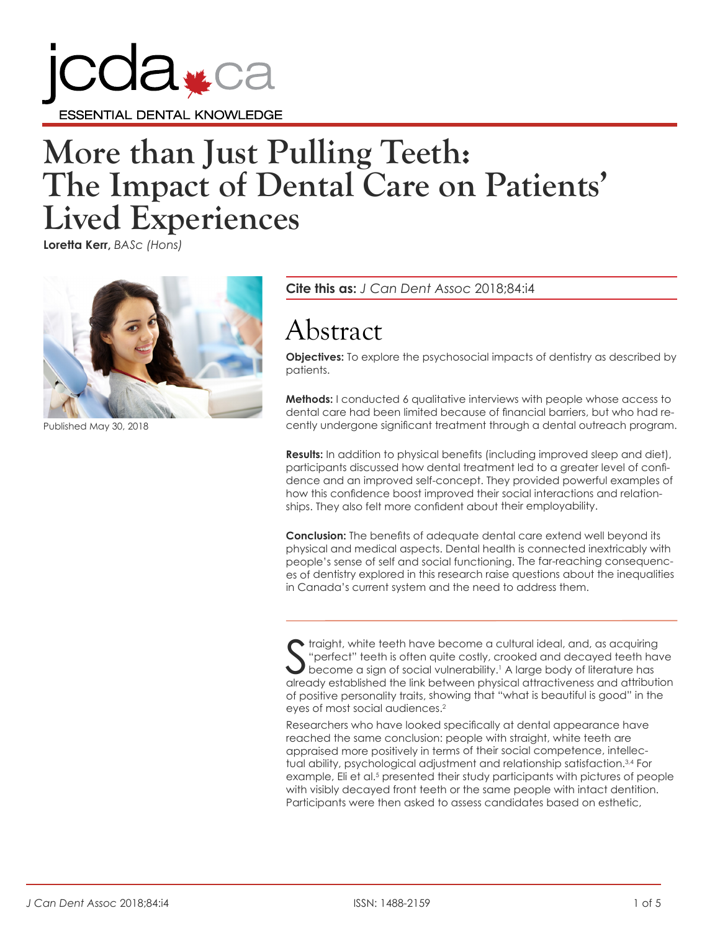

# **More than Just Pulling Teeth: The Impact of Dental Care on Patients' Lived Experiences**

**Loretta Kerr,** *BASc (Hons)*



Published May 30, 2018

**Cite this as:** *J Can Dent Assoc* 2018;84:i4

## Abstract

**Objectives:** To explore the psychosocial impacts of dentistry as described by patients.

**Methods:** I conducted 6 qualitative interviews with people whose access to dental care had been limited because of financial barriers, but who had recently undergone significant treatment through a dental outreach program.

**Results:** In addition to physical benefits (including improved sleep and diet), participants discussed how dental treatment led to a greater level of confidence and an improved self-concept. They provided powerful examples of how this confidence boost improved their social interactions and relationships. They also felt more confident about their employability.

**Conclusion:** The benefits of adequate dental care extend well beyond its physical and medical aspects. Dental health is connected inextricably with people's sense of self and social functioning. The far-reaching consequences of dentistry explored in this research raise questions about the inequalities in Canada's current system and the need to address them.

S traight, white teeth have become a cultural ideal, and, as acquiring "perfect" teeth is often quite costly, crooked and decayed teeth have become a sign of social vulnerability.<sup>1</sup> A large body of literature has already established the link between physical attractiveness and attribution of positive personality traits, showing that "what is beautiful is good" in the eyes of most social audiences.<sup>2</sup>

Researchers who have looked specifically at dental appearance have reached the same conclusion: people with straight, white teeth are appraised more positively in terms of their social competence, intellectual ability, psychological adjustment and relationship satisfaction.<sup>3,4</sup> For example, Eli et al.<sup>5</sup> presented their study participants with pictures of people with visibly decayed front teeth or the same people with intact dentition. Participants were then asked to assess candidates based on esthetic,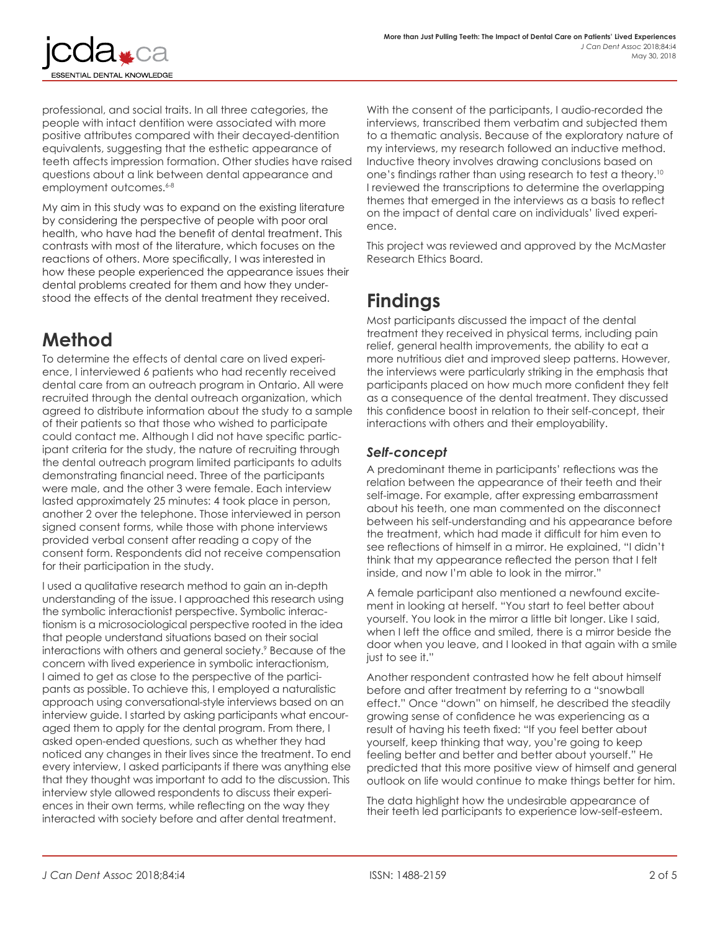

professional, and social traits. In all three categories, the people with intact dentition were associated with more positive attributes compared with their decayed-dentition equivalents, suggesting that the esthetic appearance of teeth affects impression formation. Other studies have raised questions about a link between dental appearance and employment outcomes.<sup>6-8</sup>

My aim in this study was to expand on the existing literature by considering the perspective of people with poor oral health, who have had the benefit of dental treatment. This contrasts with most of the literature, which focuses on the reactions of others. More specifically, I was interested in how these people experienced the appearance issues their dental problems created for them and how they understood the effects of the dental treatment they received.

## **Method**

To determine the effects of dental care on lived experience, I interviewed 6 patients who had recently received dental care from an outreach program in Ontario. All were recruited through the dental outreach organization, which agreed to distribute information about the study to a sample of their patients so that those who wished to participate could contact me. Although I did not have specific participant criteria for the study, the nature of recruiting through the dental outreach program limited participants to adults demonstrating financial need. Three of the participants were male, and the other 3 were female. Each interview lasted approximately 25 minutes: 4 took place in person, another 2 over the telephone. Those interviewed in person signed consent forms, while those with phone interviews provided verbal consent after reading a copy of the consent form. Respondents did not receive compensation for their participation in the study.

I used a qualitative research method to gain an in-depth understanding of the issue. I approached this research using the symbolic interactionist perspective. Symbolic interactionism is a microsociological perspective rooted in the idea that people understand situations based on their social interactions with others and general society.9 Because of the concern with lived experience in symbolic interactionism, I aimed to get as close to the perspective of the participants as possible. To achieve this, I employed a naturalistic approach using conversational-style interviews based on an interview guide. I started by asking participants what encouraged them to apply for the dental program. From there, I asked open-ended questions, such as whether they had noticed any changes in their lives since the treatment. To end every interview, I asked participants if there was anything else that they thought was important to add to the discussion. This interview style allowed respondents to discuss their experiences in their own terms, while reflecting on the way they interacted with society before and after dental treatment.

With the consent of the participants, I audio-recorded the interviews, transcribed them verbatim and subjected them to a thematic analysis. Because of the exploratory nature of my interviews, my research followed an inductive method. Inductive theory involves drawing conclusions based on one's findings rather than using research to test a theory.<sup>10</sup> I reviewed the transcriptions to determine the overlapping themes that emerged in the interviews as a basis to reflect on the impact of dental care on individuals' lived experience.

This project was reviewed and approved by the McMaster Research Ethics Board.

## **Findings**

Most participants discussed the impact of the dental treatment they received in physical terms, including pain relief, general health improvements, the ability to eat a more nutritious diet and improved sleep patterns. However, the interviews were particularly striking in the emphasis that participants placed on how much more confident they felt as a consequence of the dental treatment. They discussed this confidence boost in relation to their self-concept, their interactions with others and their employability.

#### *Self-concept*

A predominant theme in participants' reflections was the relation between the appearance of their teeth and their self-image. For example, after expressing embarrassment about his teeth, one man commented on the disconnect between his self-understanding and his appearance before the treatment, which had made it difficult for him even to see reflections of himself in a mirror. He explained, "I didn't think that my appearance reflected the person that I felt inside, and now I'm able to look in the mirror."

A female participant also mentioned a newfound excitement in looking at herself. "You start to feel better about yourself. You look in the mirror a little bit longer. Like I said, when I left the office and smiled, there is a mirror beside the door when you leave, and I looked in that again with a smile just to see it."

Another respondent contrasted how he felt about himself before and after treatment by referring to a "snowball effect." Once "down" on himself, he described the steadily growing sense of confidence he was experiencing as a result of having his teeth fixed: "If you feel better about yourself, keep thinking that way, you're going to keep feeling better and better and better about yourself." He predicted that this more positive view of himself and general outlook on life would continue to make things better for him.

The data highlight how the undesirable appearance of their teeth led participants to experience low-self-esteem.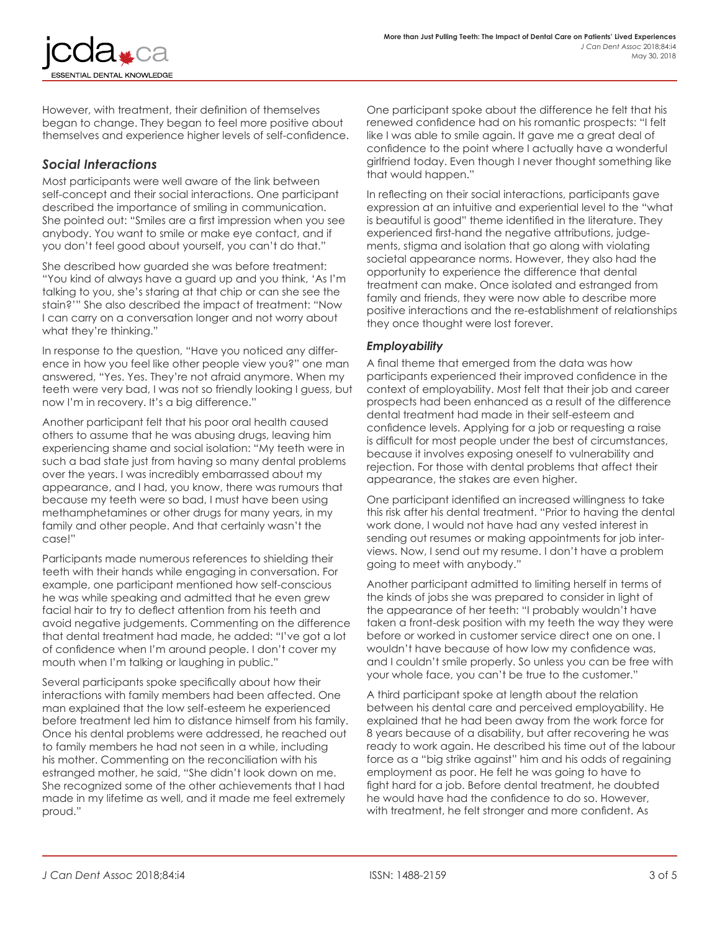However, with treatment, their definition of themselves began to change. They began to feel more positive about themselves and experience higher levels of self-confidence.

#### *Social Interactions*

NTIAL DENTAL KNOWLEDGE

Most participants were well aware of the link between self-concept and their social interactions. One participant described the importance of smiling in communication. She pointed out: "Smiles are a first impression when you see anybody. You want to smile or make eye contact, and if you don't feel good about yourself, you can't do that."

She described how guarded she was before treatment: "You kind of always have a guard up and you think, 'As I'm talking to you, she's staring at that chip or can she see the stain?'" She also described the impact of treatment: "Now I can carry on a conversation longer and not worry about what they're thinking."

In response to the question, "Have you noticed any difference in how you feel like other people view you?" one man answered, "Yes. Yes. They're not afraid anymore. When my teeth were very bad, I was not so friendly looking I guess, but now I'm in recovery. It's a big difference."

Another participant felt that his poor oral health caused others to assume that he was abusing drugs, leaving him experiencing shame and social isolation: "My teeth were in such a bad state just from having so many dental problems over the years. I was incredibly embarrassed about my appearance, and I had, you know, there was rumours that because my teeth were so bad, I must have been using methamphetamines or other drugs for many years, in my family and other people. And that certainly wasn't the case!"

Participants made numerous references to shielding their teeth with their hands while engaging in conversation. For example, one participant mentioned how self-conscious he was while speaking and admitted that he even grew facial hair to try to deflect attention from his teeth and avoid negative judgements. Commenting on the difference that dental treatment had made, he added: "I've got a lot of confidence when I'm around people. I don't cover my mouth when I'm talking or laughing in public."

Several participants spoke specifically about how their interactions with family members had been affected. One man explained that the low self-esteem he experienced before treatment led him to distance himself from his family. Once his dental problems were addressed, he reached out to family members he had not seen in a while, including his mother. Commenting on the reconciliation with his estranged mother, he said, "She didn't look down on me. She recognized some of the other achievements that I had made in my lifetime as well, and it made me feel extremely proud."

One participant spoke about the difference he felt that his renewed confidence had on his romantic prospects: "I felt like I was able to smile again. It gave me a great deal of confidence to the point where I actually have a wonderful girlfriend today. Even though I never thought something like that would happen."

In reflecting on their social interactions, participants gave expression at an intuitive and experiential level to the "what is beautiful is good" theme identified in the literature. They experienced first-hand the negative attributions, judgements, stigma and isolation that go along with violating societal appearance norms. However, they also had the opportunity to experience the difference that dental treatment can make. Once isolated and estranged from family and friends, they were now able to describe more positive interactions and the re-establishment of relationships they once thought were lost forever.

#### *Employability*

A final theme that emerged from the data was how participants experienced their improved confidence in the context of employability. Most felt that their job and career prospects had been enhanced as a result of the difference dental treatment had made in their self-esteem and confidence levels. Applying for a job or requesting a raise is difficult for most people under the best of circumstances, because it involves exposing oneself to vulnerability and rejection. For those with dental problems that affect their appearance, the stakes are even higher.

One participant identified an increased willingness to take this risk after his dental treatment. "Prior to having the dental work done, I would not have had any vested interest in sending out resumes or making appointments for job interviews. Now, I send out my resume. I don't have a problem going to meet with anybody."

Another participant admitted to limiting herself in terms of the kinds of jobs she was prepared to consider in light of the appearance of her teeth: "I probably wouldn't have taken a front-desk position with my teeth the way they were before or worked in customer service direct one on one. I wouldn't have because of how low my confidence was, and I couldn't smile properly. So unless you can be free with your whole face, you can't be true to the customer."

A third participant spoke at length about the relation between his dental care and perceived employability. He explained that he had been away from the work force for 8 years because of a disability, but after recovering he was ready to work again. He described his time out of the labour force as a "big strike against" him and his odds of regaining employment as poor. He felt he was going to have to fight hard for a job. Before dental treatment, he doubted he would have had the confidence to do so. However, with treatment, he felt stronger and more confident. As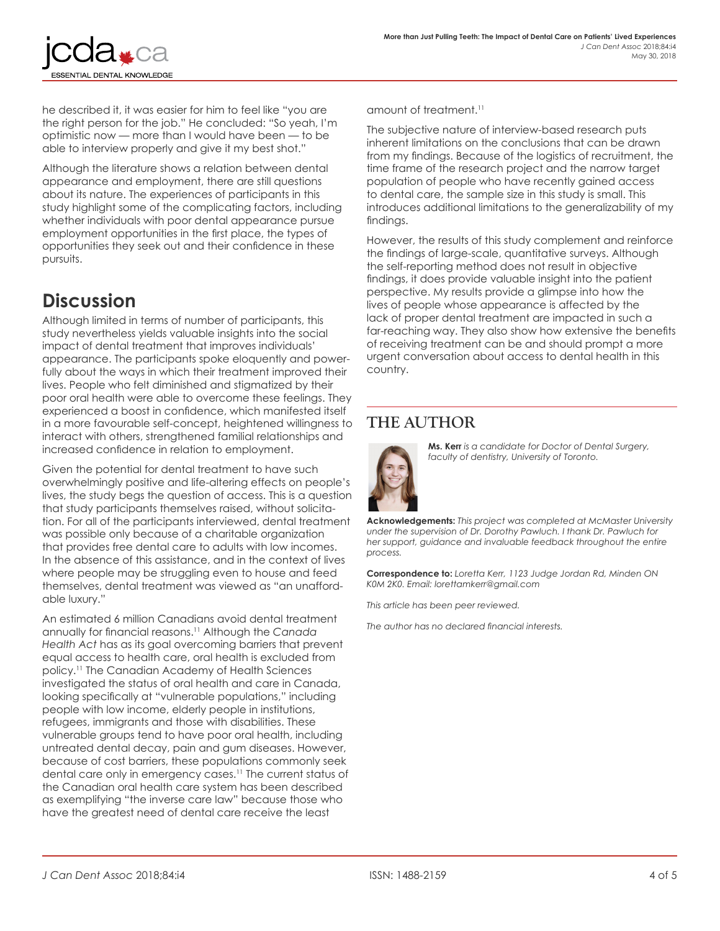

he described it, it was easier for him to feel like "you are the right person for the job." He concluded: "So yeah, I'm optimistic now — more than I would have been — to be able to interview properly and give it my best shot."

Although the literature shows a relation between dental appearance and employment, there are still questions about its nature. The experiences of participants in this study highlight some of the complicating factors, including whether individuals with poor dental appearance pursue employment opportunities in the first place, the types of opportunities they seek out and their confidence in these pursuits.

## **Discussion**

Although limited in terms of number of participants, this study nevertheless yields valuable insights into the social impact of dental treatment that improves individuals' appearance. The participants spoke eloquently and powerfully about the ways in which their treatment improved their lives. People who felt diminished and stigmatized by their poor oral health were able to overcome these feelings. They experienced a boost in confidence, which manifested itself in a more favourable self-concept, heightened willingness to interact with others, strengthened familial relationships and increased confidence in relation to employment.

Given the potential for dental treatment to have such overwhelmingly positive and life-altering effects on people's lives, the study begs the question of access. This is a question that study participants themselves raised, without solicitation. For all of the participants interviewed, dental treatment was possible only because of a charitable organization that provides free dental care to adults with low incomes. In the absence of this assistance, and in the context of lives where people may be struggling even to house and feed themselves, dental treatment was viewed as "an unaffordable luxury."

An estimated 6 million Canadians avoid dental treatment annually for financial reasons.11 Although the *Canada Health Act* has as its goal overcoming barriers that prevent equal access to health care, oral health is excluded from policy.11 The Canadian Academy of Health Sciences investigated the status of oral health and care in Canada, looking specifically at "vulnerable populations," including people with low income, elderly people in institutions, refugees, immigrants and those with disabilities. These vulnerable groups tend to have poor oral health, including untreated dental decay, pain and gum diseases. However, because of cost barriers, these populations commonly seek dental care only in emergency cases.<sup>11</sup> The current status of the Canadian oral health care system has been described as exemplifying "the inverse care law" because those who have the greatest need of dental care receive the least

amount of treatment.11

The subjective nature of interview-based research puts inherent limitations on the conclusions that can be drawn from my findings. Because of the logistics of recruitment, the time frame of the research project and the narrow target population of people who have recently gained access to dental care, the sample size in this study is small. This introduces additional limitations to the generalizability of my findings.

However, the results of this study complement and reinforce the findings of large-scale, quantitative surveys. Although the self-reporting method does not result in objective findings, it does provide valuable insight into the patient perspective. My results provide a glimpse into how the lives of people whose appearance is affected by the lack of proper dental treatment are impacted in such a far-reaching way. They also show how extensive the benefits of receiving treatment can be and should prompt a more urgent conversation about access to dental health in this country.

### **THE AUTHOR**



**Ms. Kerr** *is a candidate for Doctor of Dental Surgery, faculty of dentistry, University of Toronto.*

**Acknowledgements:** *This project was completed at McMaster University under the supervision of Dr. Dorothy Pawluch. I thank Dr. Pawluch for her support, guidance and invaluable feedback throughout the entire process.*

**Correspondence to:** *Loretta Kerr, 1123 Judge Jordan Rd, Minden ON K0M 2K0. Email: lorettamkerr@gmail.com*

*This article has been peer reviewed.*

*The author has no declared financial interests.*